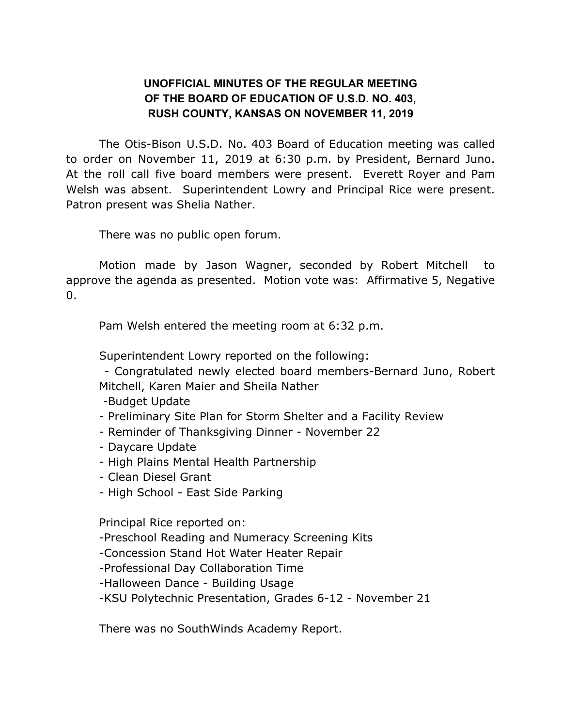## **UNOFFICIAL MINUTES OF THE REGULAR MEETING OF THE BOARD OF EDUCATION OF U.S.D. NO. 403, RUSH COUNTY, KANSAS ON NOVEMBER 11, 2019**

The Otis-Bison U.S.D. No. 403 Board of Education meeting was called to order on November 11, 2019 at 6:30 p.m. by President, Bernard Juno. At the roll call five board members were present. Everett Royer and Pam Welsh was absent. Superintendent Lowry and Principal Rice were present. Patron present was Shelia Nather.

There was no public open forum.

Motion made by Jason Wagner, seconded by Robert Mitchell to approve the agenda as presented. Motion vote was: Affirmative 5, Negative  $\Omega$ .

Pam Welsh entered the meeting room at 6:32 p.m.

Superintendent Lowry reported on the following:

- Congratulated newly elected board members-Bernard Juno, Robert Mitchell, Karen Maier and Sheila Nather

- -Budget Update
- Preliminary Site Plan for Storm Shelter and a Facility Review
- Reminder of Thanksgiving Dinner November 22
- Daycare Update
- High Plains Mental Health Partnership
- Clean Diesel Grant
- High School East Side Parking

Principal Rice reported on:

-Preschool Reading and Numeracy Screening Kits

-Concession Stand Hot Water Heater Repair

- -Professional Day Collaboration Time
- -Halloween Dance Building Usage

-KSU Polytechnic Presentation, Grades 6-12 - November 21

There was no SouthWinds Academy Report.